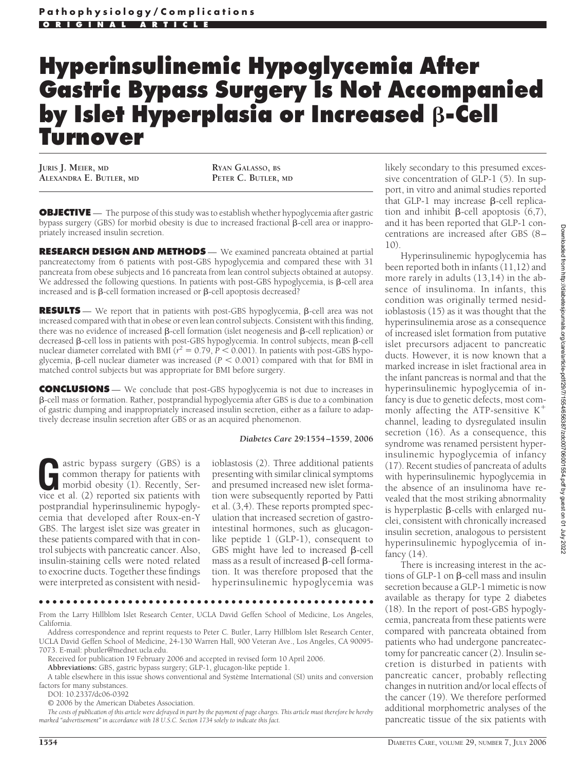# **Hyperinsulinemic Hypoglycemia After Gastric Bypass Surgery Is Not Accompanied by Islet Hyperplasia or Increased**  $\beta$ **-Cell Turnover**

**JURIS J. MEIER, MD ALEXANDRA E. BUTLER, MD**

**RYAN GALASSO, BS PETER C. BUTLER, MD**

**OBJECTIVE** — The purpose of this study was to establish whether hypoglycemia after gastric bypass surgery (GBS) for morbid obesity is due to increased fractional  $\beta$ -cell area or inappropriately increased insulin secretion.

**RESEARCH DESIGN AND METHODS** — We examined pancreata obtained at partial pancreatectomy from 6 patients with post-GBS hypoglycemia and compared these with 31 pancreata from obese subjects and 16 pancreata from lean control subjects obtained at autopsy. We addressed the following questions. In patients with post-GBS hypoglycemia, is  $\beta$ -cell area increased and is  $\beta$ -cell formation increased or  $\beta$ -cell apoptosis decreased?

**RESULTS** — We report that in patients with post-GBS hypoglycemia,  $\beta$ -cell area was not increased compared with that in obese or even lean control subjects. Consistent with this finding, there was no evidence of increased  $\beta$ -cell formation (islet neogenesis and  $\beta$ -cell replication) or decreased  $\beta$ -cell loss in patients with post-GBS hypoglycemia. In control subjects, mean  $\beta$ -cell nuclear diameter correlated with BMI ( $r^2 = 0.79$ ,  $P < 0.001$ ). In patients with post-GBS hypoglycemia,  $\beta$ -cell nuclear diameter was increased ( $P < 0.001$ ) compared with that for BMI in matched control subjects but was appropriate for BMI before surgery.

**CONCLUSIONS** — We conclude that post-GBS hypoglycemia is not due to increases in -cell mass or formation. Rather, postprandial hypoglycemia after GBS is due to a combination of gastric dumping and inappropriately increased insulin secretion, either as a failure to adaptively decrease insulin secretion after GBS or as an acquired phenomenon.

#### *Diabetes Care* **29:1554 –1559, 2006**

astric bypass surgery (GBS) is a common therapy for patients with morbid obesity (1). Recently, Service et al. (2) reported six patients with postprandial hyperinsulinemic hypoglycemia that developed after Roux-en-Y GBS. The largest islet size was greater in these patients compared with that in control subjects with pancreatic cancer. Also, insulin-staining cells were noted related to exocrine ducts. Together these findings were interpreted as consistent with nesid-

ioblastosis (2). Three additional patients presenting with similar clinical symptoms and presumed increased new islet formation were subsequently reported by Patti et al. (3,4). These reports prompted speculation that increased secretion of gastrointestinal hormones, such as glucagonlike peptide 1 (GLP-1), consequent to GBS might have led to increased  $\beta$ -cell mass as a result of increased  $\beta$ -cell formation. It was therefore proposed that the hyperinsulinemic hypoglycemia was

●●●●●●●●●●●●●●●●●●●●●●●●●●●●●●●●●●●●●●●●●●●●●●●●●

From the Larry Hillblom Islet Research Center, UCLA David Geffen School of Medicine, Los Angeles, California.

Address correspondence and reprint requests to Peter C. Butler, Larry Hillblom Islet Research Center, UCLA David Geffen School of Medicine, 24-130 Warren Hall, 900 Veteran Ave., Los Angeles, CA 90095- 7073. E-mail: pbutler@mednet.ucla.edu.

Received for publication 19 February 2006 and accepted in revised form 10 April 2006.

**Abbreviations:** GBS, gastric bypass surgery; GLP-1, glucagon-like peptide 1.

A table elsewhere in this issue shows conventional and Système International (SI) units and conversion factors for many substances.

DOI: 10.2337/dc06-0392

© 2006 by the American Diabetes Association.

*The costs of publication of this article were defrayed in part by the payment of page charges. This article must therefore be hereby marked "advertisement" in accordance with 18 U.S.C. Section 1734 solely to indicate this fact.*

likely secondary to this presumed excessive concentration of GLP-1 (5). In support, in vitro and animal studies reported that GLP-1 may increase  $\beta$ -cell replication and inhibit  $\beta$ -cell apoptosis (6,7), and it has been reported that GLP-1 concentrations are increased after GBS (8–  $1()$ 

Hyperinsulinemic hypoglycemia has been reported both in infants (11,12) and more rarely in adults (13,14) in the absence of insulinoma. In infants, this condition was originally termed nesidioblastosis (15) as it was thought that the hyperinsulinemia arose as a consequence of increased islet formation from putative islet precursors adjacent to pancreatic ducts. However, it is now known that a marked increase in islet fractional area in the infant pancreas is normal and that the hyperinsulinemic hypoglycemia of infancy is due to genetic defects, most commonly affecting the ATP-sensitive  $K^+$ channel, leading to dysregulated insulin secretion (16). As a consequence, this syndrome was renamed persistent hyperinsulinemic hypoglycemia of infancy (17). Recent studies of pancreata of adults with hyperinsulinemic hypoglycemia in the absence of an insulinoma have revealed that the most striking abnormality is hyperplastic  $\beta$ -cells with enlarged nuclei, consistent with chronically increased insulin secretion, analogous to persistent hyperinsulinemic hypoglycemia of infancy (14).

There is increasing interest in the actions of GLP-1 on  $\beta$ -cell mass and insulin secretion because a GLP-1 mimetic is now available as therapy for type 2 diabetes (18). In the report of post-GBS hypoglycemia, pancreata from these patients were compared with pancreata obtained from patients who had undergone pancreatectomy for pancreatic cancer (2). Insulin secretion is disturbed in patients with pancreatic cancer, probably reflecting changes in nutrition and/or local effects of the cancer (19). We therefore performed additional morphometric analyses of the pancreatic tissue of the six patients with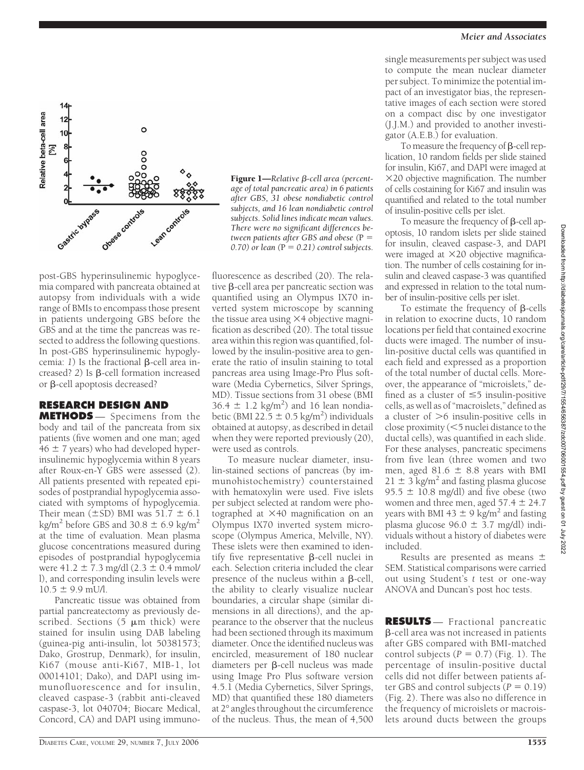

**Figure 1—**Relative β-cell area (percent*age of total pancreatic area) in 6 patients after GBS, 31 obese nondiabetic control subjects, and 16 lean nondiabetic control subjects. Solid lines indicate mean values. There were no significant differences between patients after GBS and obese (P =*  $(0.70)$  or lean ( $P = 0.21$ ) control subjects.

fluorescence as described (20). The relative  $\beta$ -cell area per pancreatic section was quantified using an Olympus IX70 inverted system microscope by scanning the tissue area using  $\times$  4 objective magnification as described (20). The total tissue area within this region was quantified, followed by the insulin-positive area to generate the ratio of insulin staining to total pancreas area using Image-Pro Plus software (Media Cybernetics, Silver Springs, MD). Tissue sections from 31 obese (BMI  $36.4 \pm 1.2$  kg/m<sup>2</sup>) and 16 lean nondiabetic (BMI 22.5  $\pm$  0.5 kg/m<sup>2</sup>) individuals obtained at autopsy, as described in detail when they were reported previously (20),

post-GBS hyperinsulinemic hypoglycemia compared with pancreata obtained at autopsy from individuals with a wide range of BMIs to encompass those present in patients undergoing GBS before the GBS and at the time the pancreas was resected to address the following questions. In post-GBS hyperinsulinemic hypoglycemia: 1) Is the fractional **B**-cell area increased? 2) Is  $\beta$ -cell formation increased or  $\beta$ -cell apoptosis decreased?

## **RESEARCH DESIGN AND**

**METHODS** — Specimens from the body and tail of the pancreata from six patients (five women and one man; aged  $46 \pm 7$  years) who had developed hyperinsulinemic hypoglycemia within 8 years after Roux-en-Y GBS were assessed (2). All patients presented with repeated episodes of postprandial hypoglycemia associated with symptoms of hypoglycemia. Their mean ( $\pm$ SD) BMI was 51.7  $\pm$  6.1 kg/m<sup>2</sup> before GBS and 30.8  $\pm$  6.9 kg/m<sup>2</sup> at the time of evaluation. Mean plasma glucose concentrations measured during episodes of postprandial hypoglycemia were  $41.2 \pm 7.3$  mg/dl  $(2.3 \pm 0.4$  mmol/ l), and corresponding insulin levels were  $10.5 \pm 9.9$  mU/l.

Pancreatic tissue was obtained from partial pancreatectomy as previously described. Sections  $(5 \mu m)$  thick) were stained for insulin using DAB labeling (guinea-pig anti-insulin, lot 50381573; Dako, Grostrup, Denmark), for insulin, Ki67 (mouse anti-Ki67, MIB-1, lot 00014101; Dako), and DAPI using immunofluorescence and for insulin, cleaved caspase-3 (rabbit anti-cleaved caspase-3, lot 040704; Biocare Medical, Concord, CA) and DAPI using immuno-

lin-stained sections of pancreas (by immunohistochemistry) counterstained with hematoxylin were used. Five islets per subject selected at random were photographed at  $\times$  40 magnification on an Olympus IX70 inverted system microscope (Olympus America, Melville, NY). These islets were then examined to identify five representative  $\beta$ -cell nuclei in each. Selection criteria included the clear

were used as controls.

presence of the nucleus within a B-cell. the ability to clearly visualize nuclear boundaries, a circular shape (similar dimensions in all directions), and the appearance to the observer that the nucleus had been sectioned through its maximum diameter. Once the identified nucleus was encircled, measurement of 180 nuclear diameters per  $\beta$ -cell nucleus was made using Image Pro Plus software version 4.5.1 (Media Cybernetics, Silver Springs, MD) that quantified these 180 diameters at 2° angles throughout the circumference of the nucleus. Thus, the mean of 4,500

To measure nuclear diameter, insu-

single measurements per subject was used to compute the mean nuclear diameter per subject. To minimize the potential impact of an investigator bias, the representative images of each section were stored on a compact disc by one investigator (J.J.M.) and provided to another investigator (A.E.B.) for evaluation.

To measure the frequency of  $\beta$ -cell replication, 10 random fields per slide stained for insulin, Ki67, and DAPI were imaged at 20 objective magnification. The number of cells costaining for Ki67 and insulin was quantified and related to the total number of insulin-positive cells per islet.

To measure the frequency of  $\beta$ -cell apoptosis, 10 random islets per slide stained for insulin, cleaved caspase-3, and DAPI were imaged at  $\times$ 20 objective magnification. The number of cells costaining for insulin and cleaved caspase-3 was quantified and expressed in relation to the total number of insulin-positive cells per islet.

To estimate the frequency of  $\beta$ -cells in relation to exocrine ducts, 10 random locations per field that contained exocrine ducts were imaged. The number of insulin-positive ductal cells was quantified in each field and expressed as a proportion of the total number of ductal cells. Moreover, the appearance of "microislets," defined as a cluster of  $\leq$  5 insulin-positive cells, as well as of "macroislets," defined as a cluster of  $>6$  insulin-positive cells in close proximity (5 nuclei distance to the ductal cells), was quantified in each slide. For these analyses, pancreatic specimens from five lean (three women and two men, aged 81.6  $\pm$  8.8 years with BMI  $21 \pm 3$  kg/m<sup>2</sup> and fasting plasma glucose 95.5  $\pm$  10.8 mg/dl) and five obese (two women and three men, aged  $57.4 \pm 24.7$ years with BMI 43  $\pm$  9 kg/m<sup>2</sup> and fasting plasma glucose  $96.0 \pm 3.7$  mg/dl) individuals without a history of diabetes were included.

Results are presented as means  $\pm$ SEM. Statistical comparisons were carried out using Student's *t* test or one-way ANOVA and Duncan's post hoc tests.

**RESULTS** — Fractional pancreatic -cell area was not increased in patients after GBS compared with BMI-matched control subjects  $(P = 0.7)$  (Fig. 1). The percentage of insulin-positive ductal cells did not differ between patients after GBS and control subjects  $(P = 0.19)$ (Fig. 2). There was also no difference in the frequency of microislets or macroislets around ducts between the groups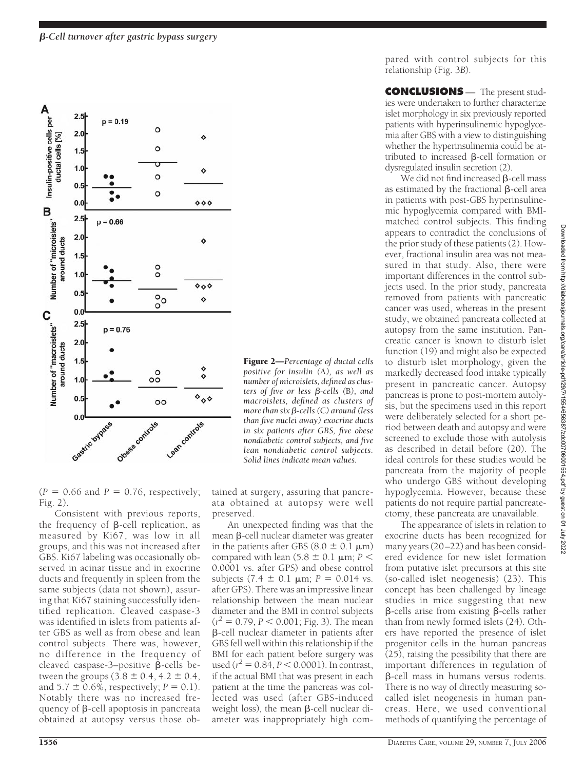

Figure 2—*Percentage of ductal cells positive for insulin (*A*), as well as number of microislets, defined as clus*ters of five or less *β-cells (B), and macroislets, defined as clusters of* more than six β-cells (C) around (less *than five nuclei away) exocrine ducts in six patients after GBS, five obese nondiabetic control subjects, and five lean nondiabetic control subjects. Solid lines indicate mean values.*

 $(P = 0.66$  and  $P = 0.76$ , respectively; Fig. 2).

Consistent with previous reports, the frequency of  $\beta$ -cell replication, as measured by Ki67, was low in all groups, and this was not increased after GBS. Ki67 labeling was occasionally observed in acinar tissue and in exocrine ducts and frequently in spleen from the same subjects (data not shown), assuring that Ki67 staining successfully identified replication. Cleaved caspase-3 was identified in islets from patients after GBS as well as from obese and lean control subjects. There was, however, no difference in the frequency of cleaved caspase-3-positive  $\beta$ -cells between the groups  $(3.8 \pm 0.4, 4.2 \pm 0.4,$ and  $5.7 \pm 0.6\%$ , respectively;  $P = 0.1$ ). Notably there was no increased frequency of  $\beta$ -cell apoptosis in pancreata obtained at autopsy versus those obtained at surgery, assuring that pancreata obtained at autopsy were well preserved.

An unexpected finding was that the mean  $\beta$ -cell nuclear diameter was greater in the patients after GBS  $(8.0 \pm 0.1 \,\mu m)$ compared with lean (5.8  $\pm$  0.1  $\mu$ m; *P* < 0.0001 vs. after GPS) and obese control subjects  $(7.4 \pm 0.1 \mu m; P = 0.014 \text{ vs.})$ after GPS). There was an impressive linear relationship between the mean nuclear diameter and the BMI in control subjects  $(r^2 = 0.79, P < 0.001;$  Fig. 3). The mean -cell nuclear diameter in patients after GBS fell well within this relationship if the BMI for each patient before surgery was used  $(r^2 = 0.84, P < 0.0001)$ . In contrast, if the actual BMI that was present in each patient at the time the pancreas was collected was used (after GBS-induced weight loss), the mean  $\beta$ -cell nuclear diameter was inappropriately high compared with control subjects for this relationship (Fig. 3*B*).

**CONCLUSIONS** — The present studies were undertaken to further characterize islet morphology in six previously reported patients with hyperinsulinemic hypoglycemia after GBS with a view to distinguishing whether the hyperinsulinemia could be attributed to increased  $\beta$ -cell formation or dysregulated insulin secretion (2).

We did not find increased  $\beta$ -cell mass as estimated by the fractional  $\beta$ -cell area in patients with post-GBS hyperinsulinemic hypoglycemia compared with BMImatched control subjects. This finding appears to contradict the conclusions of the prior study of these patients (2). However, fractional insulin area was not measured in that study. Also, there were important differences in the control subjects used. In the prior study, pancreata removed from patients with pancreatic cancer was used, whereas in the present study, we obtained pancreata collected at autopsy from the same institution. Pancreatic cancer is known to disturb islet function (19) and might also be expected to disturb islet morphology, given the markedly decreased food intake typically present in pancreatic cancer. Autopsy pancreas is prone to post-mortem autolysis, but the specimens used in this report were deliberately selected for a short period between death and autopsy and were screened to exclude those with autolysis as described in detail before (20). The ideal controls for these studies would be pancreata from the majority of people who undergo GBS without developing hypoglycemia. However, because these patients do not require partial pancreatectomy, these pancreata are unavailable.

The appearance of islets in relation to exocrine ducts has been recognized for many years (20–22) and has been considered evidence for new islet formation from putative islet precursors at this site (so-called islet neogenesis) (23). This concept has been challenged by lineage studies in mice suggesting that new  $\beta$ -cells arise from existing  $\beta$ -cells rather than from newly formed islets (24). Others have reported the presence of islet progenitor cells in the human pancreas (25), raising the possibility that there are important differences in regulation of -cell mass in humans versus rodents. There is no way of directly measuring socalled islet neogenesis in human pancreas. Here, we used conventional methods of quantifying the percentage of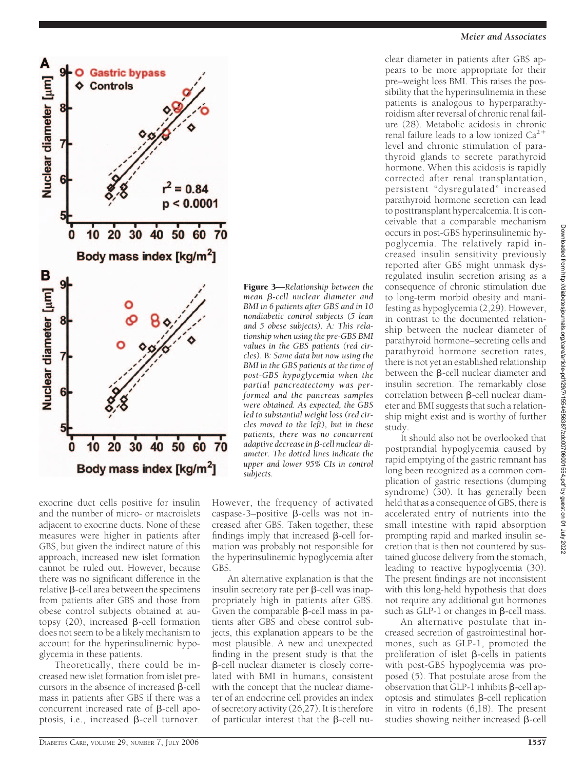

exocrine duct cells positive for insulin and the number of micro- or macroislets adjacent to exocrine ducts. None of these measures were higher in patients after GBS, but given the indirect nature of this approach, increased new islet formation cannot be ruled out. However, because there was no significant difference in the  $relative$   $\beta$ -cell area between the specimens from patients after GBS and those from obese control subjects obtained at autopsy  $(20)$ , increased  $\beta$ -cell formation does not seem to be a likely mechanism to account for the hyperinsulinemic hypoglycemia in these patients.

Theoretically, there could be increased new islet formation from islet precursors in the absence of increased  $\beta$ -cell mass in patients after GBS if there was a concurrent increased rate of  $\beta$ -cell apoptosis, i.e., increased  $\beta$ -cell turnover.

Figure 3—*Relationship between the* mean β-cell nuclear diameter and *BMI in 6 patients after GBS and in 10 nondiabetic control subjects (5 lean and 5 obese subjects).* A*: This relationship when using the pre-GBS BMI values in the GBS patients (red circles).* B*: Same data but now using the BMI in the GBS patients at the time of post-GBS hypoglycemia when the partial pancreatectomy was performed and the pancreas samples were obtained. As expected, the GBS led to substantial weight loss (red circles moved to the left), but in these patients, there was no concurrent* adaptive decrease in β-cell nuclear di*ameter. The dotted lines indicate the upper and lower 95% CIs in control subjects.*

However, the frequency of activated caspase-3-positive  $\beta$ -cells was not increased after GBS. Taken together, these findings imply that increased  $\beta$ -cell formation was probably not responsible for the hyperinsulinemic hypoglycemia after GBS.

An alternative explanation is that the insulin secretory rate per  $\beta$ -cell was inappropriately high in patients after GBS. Given the comparable  $\beta$ -cell mass in patients after GBS and obese control subjects, this explanation appears to be the most plausible. A new and unexpected finding in the present study is that the -cell nuclear diameter is closely correlated with BMI in humans, consistent with the concept that the nuclear diameter of an endocrine cell provides an index of secretory activity (26,27). It is therefore of particular interest that the  $\beta$ -cell nu-

#### *Meier and Associates*

clear diameter in patients after GBS appears to be more appropriate for their pre–weight loss BMI. This raises the possibility that the hyperinsulinemia in these patients is analogous to hyperparathyroidism after reversal of chronic renal failure (28). Metabolic acidosis in chronic renal failure leads to a low ionized  $Ca<sup>2</sup>$ level and chronic stimulation of parathyroid glands to secrete parathyroid hormone. When this acidosis is rapidly corrected after renal transplantation, persistent "dysregulated" increased parathyroid hormone secretion can lead to posttransplant hypercalcemia. It is conceivable that a comparable mechanism occurs in post-GBS hyperinsulinemic hypoglycemia. The relatively rapid increased insulin sensitivity previously reported after GBS might unmask dysregulated insulin secretion arising as a consequence of chronic stimulation due to long-term morbid obesity and manifesting as hypoglycemia (2,29). However, in contrast to the documented relationship between the nuclear diameter of parathyroid hormone–secreting cells and parathyroid hormone secretion rates, there is not yet an established relationship between the  $\beta$ -cell nuclear diameter and insulin secretion. The remarkably close correlation between  $\beta$ -cell nuclear diameter and BMI suggests that such a relationship might exist and is worthy of further study.

It should also not be overlooked that postprandial hypoglycemia caused by rapid emptying of the gastric remnant has long been recognized as a common complication of gastric resections (dumping syndrome) (30). It has generally been held that as a consequence of GBS, there is accelerated entry of nutrients into the small intestine with rapid absorption prompting rapid and marked insulin secretion that is then not countered by sustained glucose delivery from the stomach, leading to reactive hypoglycemia (30). The present findings are not inconsistent with this long-held hypothesis that does not require any additional gut hormones such as GLP-1 or changes in  $\beta$ -cell mass.

An alternative postulate that increased secretion of gastrointestinal hormones, such as GLP-1, promoted the proliferation of islet  $\beta$ -cells in patients with post-GBS hypoglycemia was proposed (5). That postulate arose from the  $\overline{\text{observation}}$  that GLP-1 inhibits  $\beta$ -cell apoptosis and stimulates  $\beta$ -cell replication in vitro in rodents (6,18). The present studies showing neither increased  $\beta$ -cell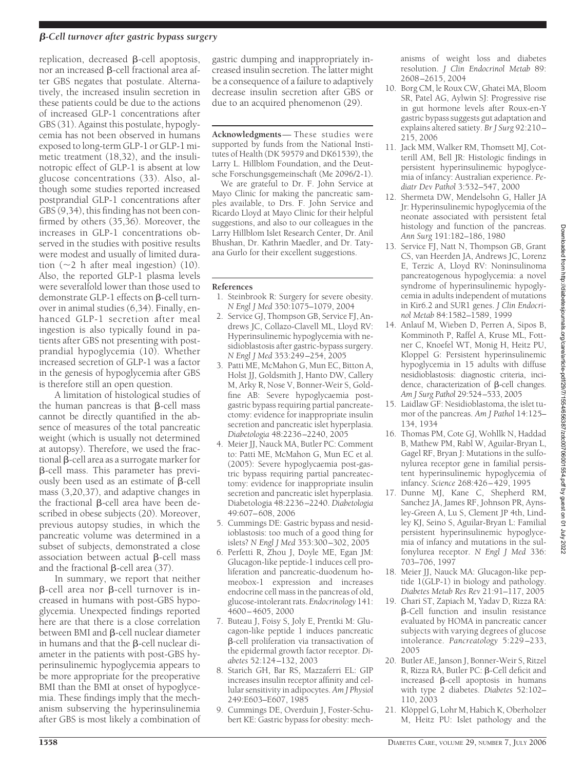## *-Cell turnover after gastric bypass surgery*

replication, decreased  $\beta$ -cell apoptosis, nor an increased  $\beta$ -cell fractional area after GBS negates that postulate. Alternatively, the increased insulin secretion in these patients could be due to the actions of increased GLP-1 concentrations after GBS (31). Against this postulate, hypoglycemia has not been observed in humans exposed to long-term GLP-1 or GLP-1 mimetic treatment (18,32), and the insulinotropic effect of GLP-1 is absent at low glucose concentrations (33). Also, although some studies reported increased postprandial GLP-1 concentrations after GBS (9,34), this finding has not been confirmed by others (35,36). Moreover, the increases in GLP-1 concentrations observed in the studies with positive results were modest and usually of limited duration  $(\sim 2$  h after meal ingestion) (10). Also, the reported GLP-1 plasma levels were severalfold lower than those used to demonstrate GLP-1 effects on B-cell turnover in animal studies (6,34). Finally, enhanced GLP-1 secretion after meal ingestion is also typically found in patients after GBS not presenting with postprandial hypoglycemia (10). Whether increased secretion of GLP-1 was a factor in the genesis of hypoglycemia after GBS is therefore still an open question.

A limitation of histological studies of the human pancreas is that  $\beta$ -cell mass cannot be directly quantified in the absence of measures of the total pancreatic weight (which is usually not determined at autopsy). Therefore, we used the fractional  $\beta$ -cell area as a surrogate marker for  $\beta$ -cell mass. This parameter has previously been used as an estimate of  $\beta$ -cell mass (3,20,37), and adaptive changes in the fractional  $\beta$ -cell area have been described in obese subjects (20). Moreover, previous autopsy studies, in which the pancreatic volume was determined in a subset of subjects, demonstrated a close association between actual B-cell mass and the fractional  $\beta$ -cell area (37).

In summary, we report that neither  $\beta$ -cell area nor  $\beta$ -cell turnover is increased in humans with post-GBS hypoglycemia. Unexpected findings reported here are that there is a close correlation between BMI and  $\beta$ -cell nuclear diameter in humans and that the  $\beta$ -cell nuclear diameter in the patients with post-GBS hyperinsulinemic hypoglycemia appears to be more appropriate for the preoperative BMI than the BMI at onset of hypoglycemia. These findings imply that the mechanism subserving the hyperinsulinemia after GBS is most likely a combination of

gastric dumping and inappropriately increased insulin secretion. The latter might be a consequence of a failure to adaptively decrease insulin secretion after GBS or due to an acquired phenomenon (29).

**Acknowledgments**— These studies were supported by funds from the National Institutes of Health (DK 59579 and DK61539), the Larry L. Hillblom Foundation, and the Deutsche Forschungsgemeinschaft (Me 2096/2-1).

We are grateful to Dr. F. John Service at Mayo Clinic for making the pancreatic samples available, to Drs. F. John Service and Ricardo Lloyd at Mayo Clinic for their helpful suggestions, and also to our colleagues in the Larry Hillblom Islet Research Center, Dr. Anil Bhushan, Dr. Kathrin Maedler, and Dr. Tatyana Gurlo for their excellent suggestions.

### **References**

- 1. Steinbrook R: Surgery for severe obesity. *N Engl J Med* 350:1075–1079, 2004
- 2. Service GJ, Thompson GB, Service FJ, Andrews JC, Collazo-Clavell ML, Lloyd RV: Hyperinsulinemic hypoglycemia with nesidioblastosis after gastric-bypass surgery. *N Engl J Med* 353:249–254, 2005
- 3. Patti ME, McMahon G, Mun EC, Bitton A, Holst JJ, Goldsmith J, Hanto DW, Callery M, Arky R, Nose V, Bonner-Weir S, Goldfine AB: Severe hypoglycaemia postgastric bypass requiring partial pancreatectomy: evidence for inappropriate insulin secretion and pancreatic islet hyperplasia. *Diabetologia* 48:2236–2240, 2005
- 4. Meier JJ, Nauck MA, Butler PC: Comment to: Patti ME, McMahon G, Mun EC et al. (2005): Severe hypoglycaemia post-gastric bypass requiring partial pancreatectomy: evidence for inappropriate insulin secretion and pancreatic islet hyperplasia. Diabetologia 48:2236–2240. *Diabetologia* 49:607–608, 2006
- 5. Cummings DE: Gastric bypass and nesidioblastosis: too much of a good thing for islets? *N Engl J Med* 353:300–302, 2005
- 6. Perfetti R, Zhou J, Doyle ME, Egan JM: Glucagon-like peptide-1 induces cell proliferation and pancreatic-duodenum homeobox-1 expression and increases endocrine cell mass in the pancreas of old, glucose-intolerant rats. *Endocrinology* 141: 4600–4605, 2000
- 7. Buteau J, Foisy S, Joly E, Prentki M: Glucagon-like peptide 1 induces pancreatic -cell proliferation via transactivation of the epidermal growth factor receptor. *Diabetes* 52:124–132, 2003
- 8. Starich GH, Bar RS, Mazzaferri EL: GIP increases insulin receptor affinity and cellular sensitivity in adipocytes. *Am J Physiol* 249:E603–E607, 1985
- 9. Cummings DE, Overduin J, Foster-Schubert KE: Gastric bypass for obesity: mech-

anisms of weight loss and diabetes resolution. *J Clin Endocrinol Metab* 89: 2608–2615, 2004

- 10. Borg CM, le Roux CW, Ghatei MA, Bloom SR, Patel AG, Aylwin SJ: Progressive rise in gut hormone levels after Roux-en-Y gastric bypass suggests gut adaptation and explains altered satiety. *Br J Surg* 92:210– 215, 2006
- 11. Jack MM, Walker RM, Thomsett MJ, Cotterill AM, Bell JR: Histologic findings in persistent hyperinsulinemic hypoglycemia of infancy: Australian experience. *Pediatr Dev Pathol* 3:532–547, 2000
- 12. Shermeta DW, Mendelsohn G, Haller JA Jr: Hyperinsulinemic hypoglycemia of the neonate associated with persistent fetal histology and function of the pancreas. *Ann Surg* 191:182–186, 1980
- 13. Service FJ, Natt N, Thompson GB, Grant CS, van Heerden JA, Andrews JC, Lorenz E, Terzic A, Lloyd RV: Noninsulinoma pancreatogenous hypoglycemia: a novel syndrome of hyperinsulinemic hypoglycemia in adults independent of mutations in Kir6.2 and SUR1 genes. *J Clin Endocrinol Metab* 84:1582–1589, 1999
- 14. Anlauf M, Wieben D, Perren A, Sipos B, Komminoth P, Raffel A, Kruse ML, Fottner C, Knoefel WT, Monig H, Heitz PU, Kloppel G: Persistent hyperinsulinemic hypoglycemia in 15 adults with diffuse nesidioblastosis: diagnostic criteria, incidence, characterization of  $\beta$ -cell changes. *Am J Surg Pathol* 29:524–533, 2005
- 15. Laidlaw GF: Nesidioblastoma, the islet tumor of the pancreas. *Am J Pathol* 14:125– 134, 1934
- 16. Thomas PM, Cote GJ, Wohllk N, Haddad B, Mathew PM, Rabl W, Aguilar-Bryan L, Gagel RF, Bryan J: Mutations in the sulfonylurea receptor gene in familial persistent hyperinsulinemic hypoglycemia of infancy. *Science* 268:426–429, 1995
- 17. Dunne MJ, Kane C, Shepherd RM, Sanchez JA, James RF, Johnson PR, Aynsley-Green A, Lu S, Clement JP 4th, Lindley KJ, Seino S, Aguilar-Bryan L: Familial persistent hyperinsulinemic hypoglycemia of infancy and mutations in the sulfonylurea receptor. *N Engl J Med* 336: 703–706, 1997
- 18. Meier JJ, Nauck MA: Glucagon-like peptide 1(GLP-1) in biology and pathology. *Diabetes Metab Res Rev* 21:91–117, 2005
- 19. Chari ST, Zapiach M, Yadav D, Rizza RA:  $\beta$ -Cell function and insulin resistance evaluated by HOMA in pancreatic cancer subjects with varying degrees of glucose intolerance. *Pancreatology* 5:229–233, 2005
- 20. Butler AE, Janson J, Bonner-Weir S, Ritzel R, Rizza RA, Butler PC:  $\beta$ -Cell deficit and increased  $\beta$ -cell apoptosis in humans with type 2 diabetes. *Diabetes* 52:102– 110, 2003
- 21. Klöppel G, Lohr M, Habich K, Oberholzer M, Heitz PU: Islet pathology and the